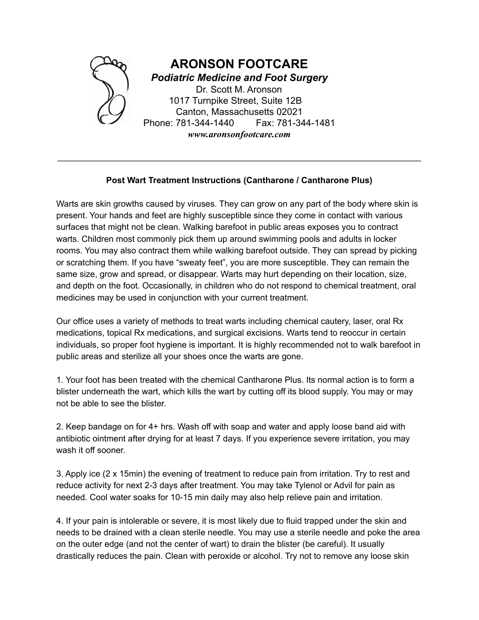

## **Post Wart Treatment Instructions (Cantharone / Cantharone Plus)**

\_\_\_\_\_\_\_\_\_\_\_\_\_\_\_\_\_\_\_\_\_\_\_\_\_\_\_\_\_\_\_\_\_\_\_\_\_\_\_\_\_\_\_\_\_\_\_\_\_\_\_\_\_\_\_\_\_\_\_\_\_\_\_\_\_\_\_\_\_\_\_\_\_\_\_\_

Warts are skin growths caused by viruses. They can grow on any part of the body where skin is present. Your hands and feet are highly susceptible since they come in contact with various surfaces that might not be clean. Walking barefoot in public areas exposes you to contract warts. Children most commonly pick them up around swimming pools and adults in locker rooms. You may also contract them while walking barefoot outside. They can spread by picking or scratching them. If you have "sweaty feet", you are more susceptible. They can remain the same size, grow and spread, or disappear. Warts may hurt depending on their location, size, and depth on the foot. Occasionally, in children who do not respond to chemical treatment, oral medicines may be used in conjunction with your current treatment.

Our office uses a variety of methods to treat warts including chemical cautery, laser, oral Rx medications, topical Rx medications, and surgical excisions. Warts tend to reoccur in certain individuals, so proper foot hygiene is important. It is highly recommended not to walk barefoot in public areas and sterilize all your shoes once the warts are gone.

1. Your foot has been treated with the chemical Cantharone Plus. Its normal action is to form a blister underneath the wart, which kills the wart by cutting off its blood supply. You may or may not be able to see the blister.

2. Keep bandage on for 4+ hrs. Wash off with soap and water and apply loose band aid with antibiotic ointment after drying for at least 7 days. If you experience severe irritation, you may wash it off sooner.

3. Apply ice (2 x 15min) the evening of treatment to reduce pain from irritation. Try to rest and reduce activity for next 2-3 days after treatment. You may take Tylenol or Advil for pain as needed. Cool water soaks for 10-15 min daily may also help relieve pain and irritation.

4. If your pain is intolerable or severe, it is most likely due to fluid trapped under the skin and needs to be drained with a clean sterile needle. You may use a sterile needle and poke the area on the outer edge (and not the center of wart) to drain the blister (be careful). It usually drastically reduces the pain. Clean with peroxide or alcohol. Try not to remove any loose skin